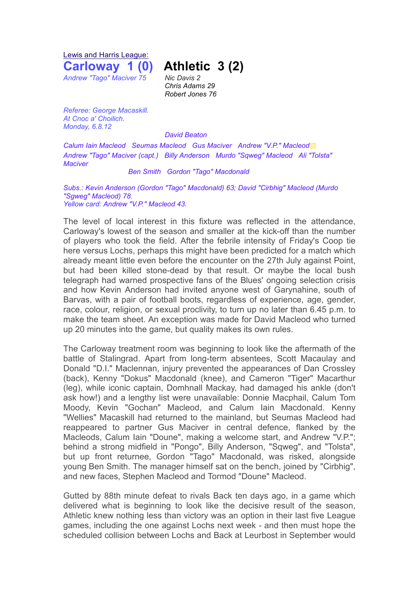Lewis and Harris League: **Carloway 1 (0) Athletic 3 (2)**

*Andrew "Tago" Maciver 75 Nic Davis 2*

*Chris Adams 29 Robert Jones 76*

*Referee: George Macaskill. At Cnoc a' Choilich. Monday, 6.8.12*

## *David Beaton*

*Calum Iain Macleod Seumas Macleod Gus Maciver Andrew "V.P." Macleod*▩ *Andrew "Tago" Maciver (capt.) Billy Anderson Murdo "Sqweg" Macleod Ali "Tolsta" Maciver*

## *Ben Smith Gordon "Tago" Macdonald*

*Subs.: Kevin Anderson (Gordon "Tago" Macdonald) 63; David "Cirbhig" Macleod (Murdo "Sgweg" Macleod) 78. Yellow card: Andrew "V.P." Macleod 43.*

The level of local interest in this fixture was reflected in the attendance, Carloway's lowest of the season and smaller at the kick-off than the number of players who took the field. After the febrile intensity of Friday's Coop tie here versus Lochs, perhaps this might have been predicted for a match which already meant little even before the encounter on the 27th July against Point, but had been killed stone-dead by that result. Or maybe the local bush telegraph had warned prospective fans of the Blues' ongoing selection crisis and how Kevin Anderson had invited anyone west of Garynahine, south of Barvas, with a pair of football boots, regardless of experience, age, gender, race, colour, religion, or sexual proclivity, to turn up no later than 6.45 p.m. to make the team sheet. An exception was made for David Macleod who turned up 20 minutes into the game, but quality makes its own rules.

The Carloway treatment room was beginning to look like the aftermath of the battle of Stalingrad. Apart from long-term absentees, Scott Macaulay and Donald "D.I." Maclennan, injury prevented the appearances of Dan Crossley (back), Kenny "Dokus" Macdonald (knee), and Cameron "Tiger" Macarthur (leg), while iconic captain, Domhnall Mackay, had damaged his ankle (don't ask how!) and a lengthy list were unavailable: Donnie Macphail, Calum Tom Moody, Kevin "Gochan" Macleod, and Calum Iain Macdonald. Kenny "Wellies" Macaskill had returned to the mainland, but Seumas Macleod had reappeared to partner Gus Maciver in central defence, flanked by the Macleods, Calum Iain "Doune", making a welcome start, and Andrew "V.P."; behind a strong midfield in "Pongo", Billy Anderson, "Sqweg", and "Tolsta", but up front returnee, Gordon "Tago" Macdonald, was risked, alongside young Ben Smith. The manager himself sat on the bench, joined by "Cirbhig", and new faces, Stephen Macleod and Tormod "Doune" Macleod.

Gutted by 88th minute defeat to rivals Back ten days ago, in a game which delivered what is beginning to look like the decisive result of the season, Athletic knew nothing less than victory was an option in their last five League games, including the one against Lochs next week - and then must hope the scheduled collision between Lochs and Back at Leurbost in September would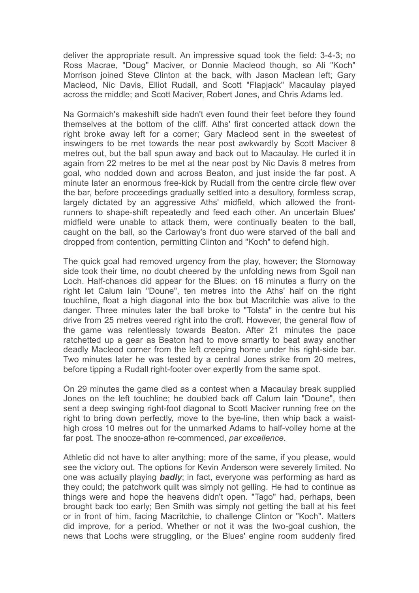deliver the appropriate result. An impressive squad took the field: 3-4-3; no Ross Macrae, "Doug" Maciver, or Donnie Macleod though, so Ali "Koch" Morrison joined Steve Clinton at the back, with Jason Maclean left; Gary Macleod, Nic Davis, Elliot Rudall, and Scott "Flapjack" Macaulay played across the middle; and Scott Maciver, Robert Jones, and Chris Adams led.

Na Gormaich's makeshift side hadn't even found their feet before they found themselves at the bottom of the cliff. Aths' first concerted attack down the right broke away left for a corner; Gary Macleod sent in the sweetest of inswingers to be met towards the near post awkwardly by Scott Maciver 8 metres out, but the ball spun away and back out to Macaulay. He curled it in again from 22 metres to be met at the near post by Nic Davis 8 metres from goal, who nodded down and across Beaton, and just inside the far post. A minute later an enormous free-kick by Rudall from the centre circle flew over the bar, before proceedings gradually settled into a desultory, formless scrap, largely dictated by an aggressive Aths' midfield, which allowed the frontrunners to shape-shift repeatedly and feed each other. An uncertain Blues' midfield were unable to attack them, were continually beaten to the ball, caught on the ball, so the Carloway's front duo were starved of the ball and dropped from contention, permitting Clinton and "Koch" to defend high.

The quick goal had removed urgency from the play, however; the Stornoway side took their time, no doubt cheered by the unfolding news from Sgoil nan Loch. Half-chances did appear for the Blues: on 16 minutes a flurry on the right let Calum Iain "Doune", ten metres into the Aths' half on the right touchline, float a high diagonal into the box but Macritchie was alive to the danger. Three minutes later the ball broke to "Tolsta" in the centre but his drive from 25 metres veered right into the croft. However, the general flow of the game was relentlessly towards Beaton. After 21 minutes the pace ratchetted up a gear as Beaton had to move smartly to beat away another deadly Macleod corner from the left creeping home under his right-side bar. Two minutes later he was tested by a central Jones strike from 20 metres, before tipping a Rudall right-footer over expertly from the same spot.

On 29 minutes the game died as a contest when a Macaulay break supplied Jones on the left touchline; he doubled back off Calum Iain "Doune", then sent a deep swinging right-foot diagonal to Scott Maciver running free on the right to bring down perfectly, move to the bye-line, then whip back a waisthigh cross 10 metres out for the unmarked Adams to half-volley home at the far post. The snooze-athon re-commenced, *par excellence*.

Athletic did not have to alter anything; more of the same, if you please, would see the victory out. The options for Kevin Anderson were severely limited. No one was actually playing *badly*; in fact, everyone was performing as hard as they could; the patchwork quilt was simply not gelling. He had to continue as things were and hope the heavens didn't open. "Tago" had, perhaps, been brought back too early; Ben Smith was simply not getting the ball at his feet or in front of him, facing Macritchie, to challenge Clinton or "Koch". Matters did improve, for a period. Whether or not it was the two-goal cushion, the news that Lochs were struggling, or the Blues' engine room suddenly fired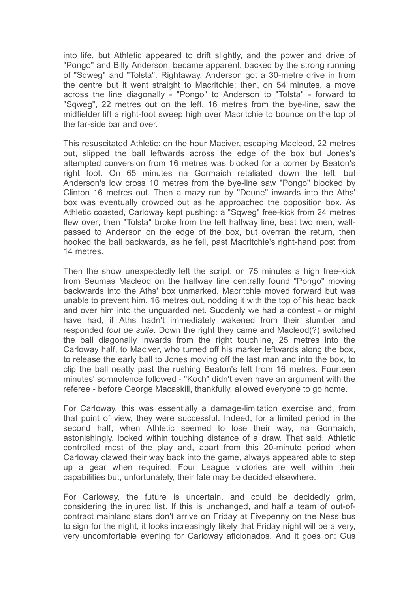into life, but Athletic appeared to drift slightly, and the power and drive of "Pongo" and Billy Anderson, became apparent, backed by the strong running of "Sqweg" and "Tolsta". Rightaway, Anderson got a 30-metre drive in from the centre but it went straight to Macritchie; then, on 54 minutes, a move across the line diagonally - "Pongo" to Anderson to "Tolsta" - forward to "Sqweg", 22 metres out on the left, 16 metres from the bye-line, saw the midfielder lift a right-foot sweep high over Macritchie to bounce on the top of the far-side bar and over.

This resuscitated Athletic: on the hour Maciver, escaping Macleod, 22 metres out, slipped the ball leftwards across the edge of the box but Jones's attempted conversion from 16 metres was blocked for a corner by Beaton's right foot. On 65 minutes na Gormaich retaliated down the left, but Anderson's low cross 10 metres from the bye-line saw "Pongo" blocked by Clinton 16 metres out. Then a mazy run by "Doune" inwards into the Aths' box was eventually crowded out as he approached the opposition box. As Athletic coasted, Carloway kept pushing: a "Sqweg" free-kick from 24 metres flew over; then "Tolsta" broke from the left halfway line, beat two men, wallpassed to Anderson on the edge of the box, but overran the return, then hooked the ball backwards, as he fell, past Macritchie's right-hand post from 14 metres.

Then the show unexpectedly left the script: on 75 minutes a high free-kick from Seumas Macleod on the halfway line centrally found "Pongo" moving backwards into the Aths' box unmarked. Macritchie moved forward but was unable to prevent him, 16 metres out, nodding it with the top of his head back and over him into the unguarded net. Suddenly we had a contest - or might have had, if Aths hadn't immediately wakened from their slumber and responded *tout de suite*. Down the right they came and Macleod(?) switched the ball diagonally inwards from the right touchline, 25 metres into the Carloway half, to Maciver, who turned off his marker leftwards along the box, to release the early ball to Jones moving off the last man and into the box, to clip the ball neatly past the rushing Beaton's left from 16 metres. Fourteen minutes' somnolence followed - "Koch" didn't even have an argument with the referee - before George Macaskill, thankfully, allowed everyone to go home.

For Carloway, this was essentially a damage-limitation exercise and, from that point of view, they were successful. Indeed, for a limited period in the second half, when Athletic seemed to lose their way, na Gormaich, astonishingly, looked within touching distance of a draw. That said, Athletic controlled most of the play and, apart from this 20-minute period when Carloway clawed their way back into the game, always appeared able to step up a gear when required. Four League victories are well within their capabilities but, unfortunately, their fate may be decided elsewhere.

For Carloway, the future is uncertain, and could be decidedly grim, considering the injured list. If this is unchanged, and half a team of out-ofcontract mainland stars don't arrive on Friday at Fivepenny on the Ness bus to sign for the night, it looks increasingly likely that Friday night will be a very, very uncomfortable evening for Carloway aficionados. And it goes on: Gus